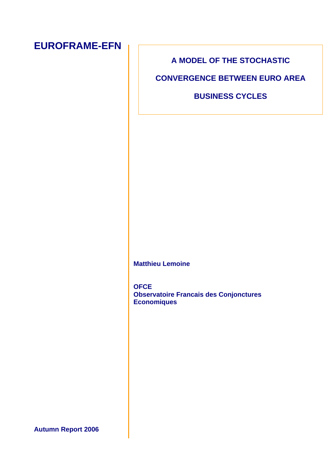# **EUROFRAME-EFN**

## **A MODEL OF THE STOCHASTIC**

**CONVERGENCE BETWEEN EURO AREA** 

**BUSINESS CYCLES** 

**Matthieu Lemoine** 

**OFCE Observatoire Francais des Conjonctures Economiques** 

**Autumn Report 2006**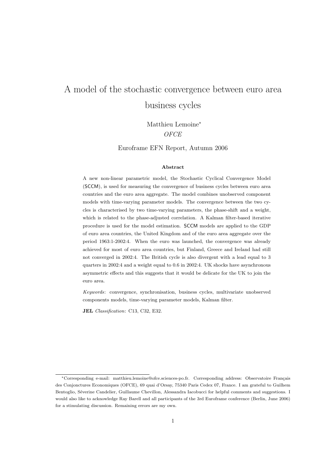Matthieu Lemoine<sup>∗</sup> **OFCE** 

Euroframe EFN Report, Autumn 2006

#### Abstract

A new non-linear parametric model, the Stochastic Cyclical Convergence Model (SCCM), is used for measuring the convergence of business cycles between euro area countries and the euro area aggregate. The model combines unobserved component models with time-varying parameter models. The convergence between the two cycles is characterised by two time-varying parameters, the phase-shift and a weight, which is related to the phase-adjusted correlation. A Kalman filter-based iterative procedure is used for the model estimation. SCCM models are applied to the GDP of euro area countries, the United Kingdom and of the euro area aggregate over the period 1963:1-2002:4. When the euro was launched, the convergence was already achieved for most of euro area countries, but Finland, Greece and Ireland had still not converged in 2002:4. The British cycle is also divergent with a lead equal to 3 quarters in 2002:4 and a weight equal to 0.6 in 2002:4. UK shocks have asynchronous asymmetric effects and this suggests that it would be delicate for the UK to join the euro area.

Keywords: convergence, synchronisation, business cycles, multivariate unobserved components models, time-varying parameter models, Kalman filter.

JEL Classification: C13, C32, E32.

<sup>\*</sup>Corresponding e-mail: matthieu.lemoine@ofce.sciences-po.fr. Corresponding address: Observatoire Français des Conjonctures Economiques (OFCE), 69 quai d'Orsay, 75340 Paris Cedex 07, France. I am grateful to Guilhem Bentoglio, Séverine Candelier, Guillaume Chevillon, Alessandra Iacobucci for helpful comments and suggestions. I would also like to acknowledge Ray Barell and all participants of the 3rd Euroframe conference (Berlin, June 2006) for a stimulating discussion. Remaining errors are my own.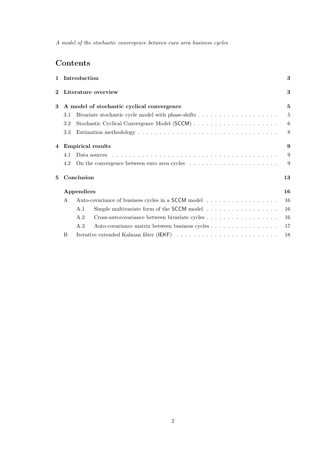## Contents

| $\mathbf{1}$   |                                            | Introduction                                                                            | 3  |  |  |  |  |  |  |  |
|----------------|--------------------------------------------|-----------------------------------------------------------------------------------------|----|--|--|--|--|--|--|--|
| $\bf{2}$       |                                            | Literature overview                                                                     | 3  |  |  |  |  |  |  |  |
| 3              | A model of stochastic cyclical convergence |                                                                                         |    |  |  |  |  |  |  |  |
|                | 3.1                                        |                                                                                         | 5  |  |  |  |  |  |  |  |
|                | 3.2                                        |                                                                                         | 6  |  |  |  |  |  |  |  |
|                | 3.3                                        |                                                                                         | 8  |  |  |  |  |  |  |  |
| $\overline{4}$ |                                            | <b>Empirical results</b>                                                                | 9  |  |  |  |  |  |  |  |
|                | 4.1                                        |                                                                                         | 9  |  |  |  |  |  |  |  |
|                | 4.2                                        |                                                                                         | 9  |  |  |  |  |  |  |  |
| 5              | Conclusion                                 |                                                                                         |    |  |  |  |  |  |  |  |
|                |                                            | Appendices                                                                              | 16 |  |  |  |  |  |  |  |
|                | $\mathsf{A}$                               | Auto-covariance of business cycles in a SCCM model                                      | 16 |  |  |  |  |  |  |  |
|                |                                            | Simple multivariate form of the SCCM model $\dots \dots \dots \dots \dots \dots$<br>A.1 | 16 |  |  |  |  |  |  |  |
|                |                                            | A.2                                                                                     | 16 |  |  |  |  |  |  |  |
|                |                                            | A.3<br>Auto-covariance matrix between business cycles                                   | 17 |  |  |  |  |  |  |  |
|                | B                                          |                                                                                         | 18 |  |  |  |  |  |  |  |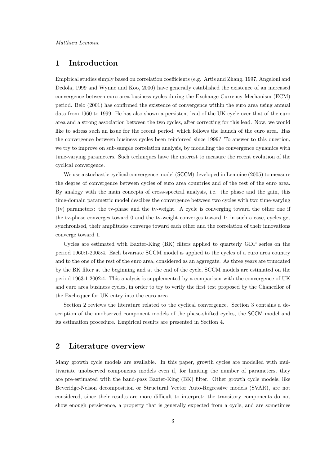## 1 Introduction

Empirical studies simply based on correlation coefficients (e.g. Artis and Zhang, 1997, Angeloni and Dedola, 1999 and Wynne and Koo, 2000) have generally established the existence of an increased convergence between euro area business cycles during the Exchange Currency Mechanism (ECM) period. Belo (2001) has confirmed the existence of convergence within the euro area using annual data from 1960 to 1999. He has also shown a persistent lead of the UK cycle over that of the euro area and a strong association between the two cycles, after correcting for this lead. Now, we would like to adress such an issue for the recent period, which follows the launch of the euro area. Has the convergence between business cycles been reinforced since 1999? To answer to this question, we try to improve on sub-sample correlation analysis, by modelling the convergence dynamics with time-varying parameters. Such techniques have the interest to measure the recent evolution of the cyclical convergence.

We use a stochastic cyclical convergence model (SCCM) developed in Lemoine (2005) to measure the degree of convergence between cycles of euro area countries and of the rest of the euro area. By analogy with the main concepts of cross-spectral analysis, i.e. the phase and the gain, this time-domain parametric model descibes the convergence between two cycles with two time-varying (tv) parameters: the tv-phase and the tv-weight. A cycle is converging toward the other one if the tv-phase converges toward 0 and the tv-weight converges toward 1: in such a case, cycles get synchronised, their amplitudes converge toward each other and the correlation of their innovations converge toward 1.

Cycles are estimated with Baxter-King (BK) filters applied to quarterly GDP series on the period 1960:1-2005:4. Each bivariate SCCM model is applied to the cycles of a euro area country and to the one of the rest of the euro area, considered as an aggregate. As three years are truncated by the BK filter at the beginning and at the end of the cycle, SCCM models are estimated on the period 1963:1-2002:4. This analysis is supplemented by a comparison with the convergence of UK and euro area business cycles, in order to try to verify the first test proposed by the Chancellor of the Exchequer for UK entry into the euro area.

Section 2 reviews the literature related to the cyclical convergence. Section 3 contains a description of the unobserved component models of the phase-shifted cycles, the SCCM model and its estimation procedure. Empirical results are presented in Section 4.

### 2 Literature overview

Many growth cycle models are available. In this paper, growth cycles are modelled with multivariate unobserved components models even if, for limiting the number of parameters, they are pre-estimated with the band-pass Baxter-King (BK) filter. Other growth cycle models, like Beveridge-Nelson decomposition or Structural Vector Auto-Regressive models (SVAR), are not considered, since their results are more difficult to interpret: the transitory components do not show enough persistence, a property that is generally expected from a cycle, and are sometimes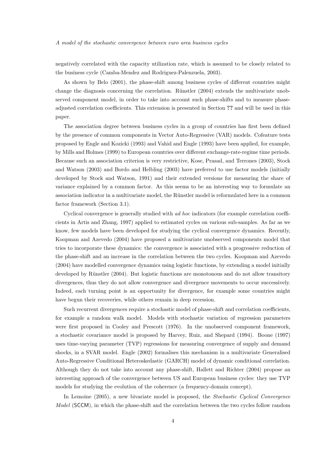negatively correlated with the capacity utilization rate, which is assumed to be closely related to the business cycle (Camba-Mendez and Rodriguez-Palenzuela, 2003).

As shown by Belo (2001), the phase-shift among business cycles of different countries might change the diagnosis concerning the correlation. Rünstler  $(2004)$  extends the multivariate unobserved component model, in order to take into account such phase-shifts and to measure phaseadjusted correlation coefficients. This extension is presented in Section ?? and will be used in this paper.

The association degree between business cycles in a group of countries has first been defined by the presence of common components in Vector Auto-Regressive (VAR) models. Cofeature tests proposed by Engle and Kozicki (1993) and Vahid and Engle (1993) have been applied, for example, by Mills and Holmes (1999) to European countries over different exchange-rate-regime time periods. Because such an association criterion is very restrictive, Kose, Prasad, and Terrones (2003), Stock and Watson (2003) and Bordo and Helbling (2003) have preferred to use factor models (initially developed by Stock and Watson, 1991) and their extended versions for measuring the share of variance explained by a common factor. As this seems to be an interesting way to formulate an association indicator in a multivariate model, the Rünstler model is reformulated here in a common factor framework (Section 3.1).

Cyclical convergence is generally studied with ad hoc indicators (for example correlation coefficients in Artis and Zhang, 1997) applied to estimated cycles on various sub-samples. As far as we know, few models have been developed for studying the cyclical convergence dynamics. Recently, Koopman and Azevedo (2004) have proposed a multivariate unobserved components model that tries to incorporate these dynamics: the convergence is associated with a progressive reduction of the phase-shift and an increase in the correlation between the two cycles. Koopman and Azevedo (2004) have modelled convergence dynamics using logistic functions, by extending a model initially developed by Rünstler (2004). But logistic functions are monotonous and do not allow transitory divergences, thus they do not allow convergence and divergence movements to occur successively. Indeed, each turning point is an opportunity for divergence, for example some countries might have begun their recoveries, while others remain in deep recession.

Such recurrent divergences require a stochastic model of phase-shift and correlation coefficients, for example a random walk model. Models with stochastic variation of regression parameters were first proposed in Cooley and Prescott (1976). In the unobserved component framework, a stochastic covariance model is proposed by Harvey, Ruiz, and Shepard (1994). Boone (1997) uses time-varying parameter (TVP) regressions for measuring convergence of supply and demand shocks, in a SVAR model. Engle (2002) formalises this mechanism in a multivariate Generalised Auto-Regressive Conditional Heteroskedastic (GARCH) model of dynamic conditional correlation. Although they do not take into account any phase-shift, Hallett and Richter (2004) propose an interesting approach of the convergence between US and European business cycles: they use TVP models for studying the evolution of the coherence (a frequency-domain concept).

In Lemoine (2005), a new bivariate model is proposed, the Stochastic Cyclical Convergence Model (SCCM), in which the phase-shift and the correlation between the two cycles follow random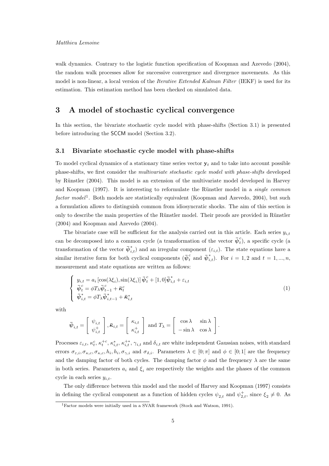walk dynamics. Contrary to the logistic function specification of Koopman and Azevedo (2004), the random walk processes allow for successive convergence and divergence movements. As this model is non-linear, a local version of the *Iterative Extended Kalman Filter* (IEKF) is used for its estimation. This estimation method has been checked on simulated data.

## 3 A model of stochastic cyclical convergence

In this section, the bivariate stochastic cycle model with phase-shifts (Section 3.1) is presented before introducing the SCCM model (Section 3.2).

#### 3.1 Bivariate stochastic cycle model with phase-shifts

To model cyclical dynamics of a stationary time series vector  $y_t$  and to take into account possible phase-shifts, we first consider the multivariate stochastic cycle model with phase-shifts developed by Rünstler (2004). This model is an extension of the multivariate model developed in Harvey and Koopman (1997). It is interesting to reformulate the Rünstler model in a *single common* factor model<sup>1</sup>. Both models are statistically equivalent (Koopman and Azevedo, 2004), but such a formulation allows to distinguish common from idiosyncratic shocks. The aim of this section is only to describe the main properties of the Rünstler model. Their proofs are provided in Rünstler (2004) and Koopman and Azevedo (2004).

The bivariate case will be sufficient for the analysis carried out in this article. Each series  $y_{i,t}$ can be decomposed into a common cycle (a transformation of the vector  $\bar{\psi}_t^c$  $\binom{c}{t}$ , a specific cycle (a transformation of the vector  $\bar{\psi}_{i,t}^*$  and an irregular component  $(\varepsilon_{i,t})$ . The state equations have a similar iterative form for both cyclical components  $(\bar{\psi}_t^c$  and  $\bar{\psi}_{i,t}^*)$ . For  $i = 1, 2$  and  $t = 1, ..., n$ , measurement and state equations are written as follows:

$$
\begin{cases}\ny_{i,t} = a_i \left[\cos(\lambda \xi_i), \sin(\lambda \xi_i)\right] \bar{\psi}_t^c + [1, 0] \bar{\psi}_{i,t}^* + \varepsilon_{i,t} \\
\bar{\psi}_t^c = \phi T_\lambda \bar{\psi}_{t-1}^c + \bar{\kappa}_t^c \\
\bar{\psi}_{i,t}^* = \phi T_\lambda \bar{\psi}_{i,t-1}^* + \bar{\kappa}_{i,t}^* \n\end{cases} \tag{1}
$$

with

$$
\bar{\boldsymbol{\psi}}_{i,t} = \begin{bmatrix} \psi_{i,t} \\ \psi_{i,t}^+ \end{bmatrix}, \bar{\boldsymbol{\kappa}}_{i,t} = \begin{bmatrix} \kappa_{i,t} \\ \kappa_{i,t}^+ \end{bmatrix} \text{ and } T_{\lambda} = \begin{bmatrix} \cos \lambda & \sin \lambda \\ -\sin \lambda & \cos \lambda \end{bmatrix}.
$$

Processes  $\varepsilon_{i,t}$ ,  $\kappa_t^c$ ,  $\kappa_t^{+c}$ ,  $\kappa_{i,t}^*$ ,  $\kappa_{i,t}^{+*}$ ,  $\gamma_{i,t}$  and  $\delta_{i,t}$  are white independent Gaussian noises, with standard errors  $\sigma_{\varepsilon,i}, \sigma_{\kappa,c}, \sigma_{\kappa,c}, h_i, h_i, \sigma_{\gamma,i}$  and  $\sigma_{\delta,i}$ . Parameters  $\lambda \in [0; \pi]$  and  $\phi \in [0; 1]$  are the frequency and the damping factor of both cycles. The damping factor  $\phi$  and the frequency  $\lambda$  are the same in both series. Parameters  $a_i$  and  $\xi_i$  are respectively the weights and the phases of the common cycle in each series  $y_{i,t}$ .

The only difference between this model and the model of Harvey and Koopman (1997) consists in defining the cyclical component as a function of hidden cycles  $\psi_{2,t}$  and  $\psi_{2,t}^+$ , since  $\xi_2 \neq 0$ . As

<sup>1</sup>Factor models were initially used in a SVAR framework (Stock and Watson, 1991).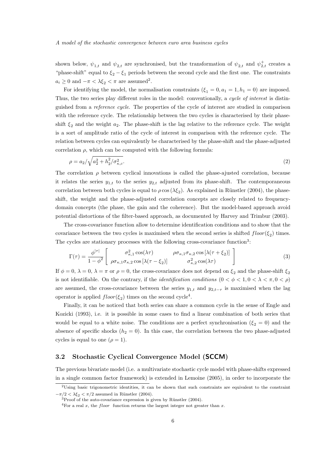shown below,  $\psi_{1,t}$  and  $\psi_{2,t}$  are synchronised, but the transformation of  $\psi_{2,t}$  and  $\psi_{2,t}^+$  creates a "phase-shift" equal to  $\xi_2 - \xi_1$  periods between the second cycle and the first one. The constraints  $a_i \geq 0$  and  $-\pi < \lambda \xi_2 < \pi$  are assumed<sup>2</sup>.

For identifying the model, the normalisation constraints  $(\xi_1 = 0, a_1 = 1, h_1 = 0)$  are imposed. Thus, the two series play different roles in the model: conventionally, a cycle of interest is distinguished from a reference cycle. The properties of the cycle of interest are studied in comparison with the reference cycle. The relationship between the two cycles is characterised by their phaseshift  $\xi_2$  and the weight  $a_2$ . The phase-shift is the lag relative to the reference cycle. The weight is a sort of amplitude ratio of the cycle of interest in comparison with the reference cycle. The relation between cycles can equivalently be characterised by the phase-shift and the phase-adjusted correlation  $\rho$ , which can be computed with the following formula:

$$
\rho = a_2 / \sqrt{a_2^2 + h_2^2 / \sigma_{\kappa,c}^2}.
$$
\n(2)

The correlation  $\rho$  between cyclical innovations is called the phase-ajusted correlation, because it relates the series  $y_{1,t}$  to the series  $y_{2,t}$  adjusted from its phase-shift. The contemporaneous correlation between both cycles is equal to  $\rho \cos(\lambda \xi_2)$ . As explained in Rünstler (2004), the phaseshift, the weight and the phase-adjusted correlation concepts are closely related to frequencydomain concepts (the phase, the gain and the coherence). But the model-based approach avoid potential distortions of the filter-based approach, as documented by Harvey and Trimbur (2003).

The cross-covariance function allow to determine identification conditions and to show that the covariance between the two cycles is maximised when the second series is shifted  $floor(\xi_2)$  times. The cycles are stationary processes with the following cross-covariance function<sup>3</sup>:

$$
\Gamma(\tau) = \frac{\phi^{|\tau|}}{1 - \phi^2} \begin{bmatrix} \sigma_{\kappa,1}^2 \cos(\lambda \tau) & \rho \sigma_{\kappa,1} \sigma_{\kappa,2} \cos[\lambda(\tau + \xi_2)] \\ \rho \sigma_{\kappa,1} \sigma_{\kappa,2} \cos[\lambda(\tau - \xi_2)] & \sigma_{\kappa,2}^2 \cos(\lambda \tau) \end{bmatrix}
$$
(3)

If  $\phi = 0$ ,  $\lambda = 0$ ,  $\lambda = \pi$  or  $\rho = 0$ , the cross-covariance does not depend on  $\xi_2$  and the phase-shift  $\xi_2$ is not identifiable. On the contrary, if the *identification conditions*  $(0 < \phi < 1, 0 < \lambda < \pi, 0 < \rho)$ are assumed, the cross-covariance between the series  $y_{1,t}$  and  $y_{2,t- is maximised when the lag$ operator is applied  $floor(\xi_2)$  times on the second cycle<sup>4</sup>.

Finally, it can be noticed that both series can share a common cycle in the sense of Engle and Kozicki (1993), i.e. it is possible in some cases to find a linear combination of both series that would be equal to a white noise. The conditions are a perfect synchronisation ( $\xi_2 = 0$ ) and the absence of specific shocks  $(h_2 = 0)$ . In this case, the correlation between the two phase-adjusted cycles is equal to one  $(\rho = 1)$ .

#### 3.2 Stochastic Cyclical Convergence Model (SCCM)

The previous bivariate model (i.e. a multivariate stochastic cycle model with phase-shifts expressed in a single common factor framework) is extended in Lemoine (2005), in order to incorporate the

<sup>2</sup>Using basic trigonometric identities, it can be shown that such constraints are equivalent to the constraint  $-\pi/2 < \lambda \xi_2 < \pi/2$  assumed in Rünstler (2004).

 $3$ Proof of the auto-covariance expression is given by Rünstler (2004).

<sup>&</sup>lt;sup>4</sup>For a real x, the *floor* function returns the largest integer not greater than x.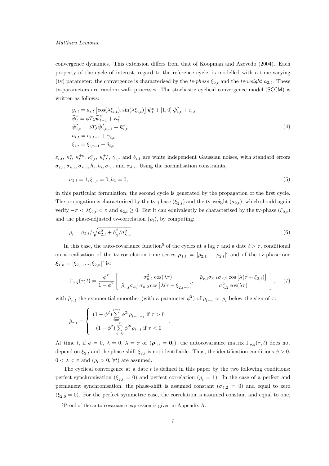#### Matthieu Lemoine

convergence dynamics. This extension differs from that of Koopman and Azevedo (2004). Each property of the cycle of interest, regard to the reference cycle, is modelled with a time-varying (tv) parameter: the convergence is characterised by the tv-phase  $\xi_{2,t}$  and the tv-weight  $a_{2,t}$ . These tv-parameters are random walk processes. The stochastic cyclical convergence model (SCCM) is written as follows:

$$
y_{i,t} = a_{i,t} \left[ \cos(\lambda \xi_{i,t}), \sin(\lambda \xi_{i,t}) \right] \bar{\psi}_t^c + [1, 0] \bar{\psi}_{i,t}^* + \varepsilon_{i,t} \n\bar{\psi}_t^c = \phi T_\lambda \bar{\psi}_{t-1}^c + \bar{\kappa}_t^c \n\bar{\psi}_{i,t}^* = \phi T_\lambda \bar{\psi}_{i,t-1}^* + \bar{\kappa}_{i,t}^* \na_{i,t} = a_{i,t-1} + \gamma_{i,t} \n\xi_{i,t} = \xi_{i,t-1} + \delta_{i,t}
$$
\n(4)

 $\varepsilon_{i,t}, \kappa_t^c, \kappa_t^{+c}, \kappa_{i,t}^*, \kappa_{i,t}^{+*}, \gamma_{i,t}$  and  $\delta_{i,t}$  are white independent Gaussian noises, with standard errors  $\sigma_{\varepsilon,i}, \sigma_{\kappa,c}, \sigma_{\kappa,c}, h_i, h_i, \sigma_{\gamma,i}$  and  $\sigma_{\delta,i}$ . Using the normalisation constraints,

$$
a_{1,t} = 1, \xi_{1,t} = 0, h_1 = 0,\tag{5}
$$

in this particular formulation, the second cycle is generated by the propagation of the first cycle. The propagation is characterised by the tv-phase  $(\xi_{2,t})$  and the tv-weight  $(a_{2,t})$ , which should again verify  $-\pi < \lambda \xi_{2,t} < \pi$  and  $a_{2,t} \geq 0$ . But it can equivalently be characterised by the tv-phase  $(\xi_{2,t})$ and the phase-adjusted tv-correlation  $(\rho_t)$ , by computing:

$$
\rho_t = a_{2,t} / \sqrt{a_{2,t}^2 + h_2^2 / \sigma_{\kappa,c}^2}
$$
\n(6)

In this case, the auto-covariance function<sup>5</sup> of the cycles at a lag  $\tau$  and a date  $t > \tau$ , conditional on a realisation of the tv-correlation time series  $\rho_{1:t} = [\rho_{2,1}, ..., \rho_{2,t}]'$  and of the tv-phase one  $\boldsymbol{\xi}_{1:n} = [\xi_{2,1}, ..., \xi_{2,n}]'$  is:

$$
\Gamma_{a,\xi}(\tau;t) = \frac{\phi^{\tau}}{1-\phi^2} \left[ \begin{array}{cc} \sigma_{\kappa,1}^2 \cos(\lambda \tau) & \tilde{\rho}_{\tau,t} \sigma_{\kappa,1} \sigma_{\kappa,2} \cos\left[\lambda(\tau+\xi_{2,t})\right] \\ \tilde{\rho}_{\tau,t} \sigma_{\kappa,1} \sigma_{\kappa,2} \cos\left[\lambda(\tau-\xi_{2,t-\tau})\right] & \sigma_{\kappa,2}^2 \cos(\lambda \tau) \end{array} \right], \quad (7)
$$

with  $\tilde{\rho}_{\tau,t}$  the exponential smoother (with a parameter  $\phi^2$ ) of  $\rho_{t-\tau}$  or  $\rho_t$  below the sign of  $\tau$ :

.

$$
\tilde{\rho}_{\tau,t} = \left\{ \begin{array}{c} \displaystyle (1-\phi^2)\sum\limits_{i=0}^{t-\tau}\phi^{2i}\rho_{t-\tau-i} \text{ if } \tau > 0 \\ \displaystyle (1-\phi^2)\sum\limits_{i=0}^{t}\phi^{2i}\rho_{t-i} \text{ if } \tau < 0 \end{array} \right.
$$

At time t, if  $\phi = 0$ ,  $\lambda = 0$ ,  $\lambda = \pi$  or  $(\rho_{1:t} = \mathbf{0}_t)$ , the autocovariance matrix  $\Gamma_{\rho,\xi}(\tau,t)$  does not depend on  $\xi_{2,t}$  and the phase-shift  $\xi_{2,t}$  is not identifiable. Thus, the identification conditions  $\phi > 0$ ,  $0 < \lambda < \pi$  and  $(\rho_t > 0, \forall t)$  are assumed.

The cyclical convergence at a date  $t$  is defined in this paper by the two following conditions: perfect synchronisation ( $\xi_{2,t} = 0$ ) and perfect correlation ( $\rho_t = 1$ ). In the case of a perfect and permanent synchronisation, the phase-shift is assumed constant ( $\sigma_{\delta,2} = 0$ ) and equal to zero  $(\xi_{2,0}=0)$ . For the perfect symmetric case, the correlation is assumed constant and equal to one,

<sup>5</sup>Proof of the auto-covariance expression is given in Appendix A.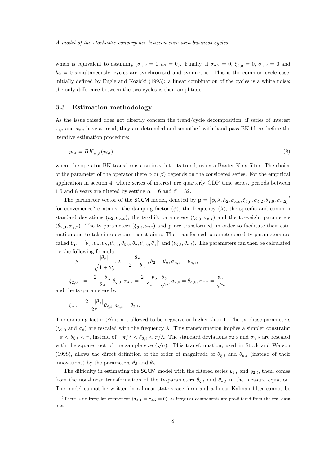which is equivalent to assuming  $(\sigma_{\gamma,2} = 0, h_2 = 0)$ . Finally, if  $\sigma_{\delta,2} = 0, \xi_{2,0} = 0, \sigma_{\gamma,2} = 0$  and  $h_2 = 0$  simultaneously, cycles are synchronised and symmetric. This is the common cycle case, initially defined by Engle and Kozicki (1993): a linear combination of the cycles is a white noise; the only difference between the two cycles is their amplitude.

#### 3.3 Estimation methodology

As the issue raised does not directly concern the trend/cycle decomposition, if series of interest  $x_{i,t}$  and  $x_{2,t}$  have a trend, they are detrended and smoothed with band-pass BK filters before the iterative estimation procedure:

$$
y_{i,t} = BK_{\alpha,\beta}(x_{i,t})
$$
\n<sup>(8)</sup>

where the operator BK transforms a series  $x$  into its trend, using a Baxter-King filter. The choice of the parameter of the operator (here  $\alpha$  or  $\beta$ ) depends on the considered series. For the empirical application in section 4, where series of interest are quarterly GDP time series, periods between 1.5 and 8 years are filtered by setting  $\alpha = 6$  and  $\beta = 32$ .

The parameter vector of the SCCM model, denoted by  $\mathbf{p} = [\phi, \lambda, h_2, \sigma_{\kappa,c}, \xi_{2,0}, \sigma_{\delta,2}, \theta_{2,0}, \sigma_{\gamma,2}]^T$ for convenience<sup>6</sup> contains: the damping factor  $(\phi)$ , the frequency  $(\lambda)$ , the specific and common standard deviations  $(h_2, \sigma_{\kappa,c})$ , the tv-shift parameters  $(\xi_{2,0}, \sigma_{\delta,2})$  and the tv-weight parameters  $(\theta_{2,0}, \sigma_{\gamma,2})$ . The tv-parameters  $(\xi_{2,t}, a_{2,t})$  and **p** are transformed, in order to facilitate their estimation and to take into account constraints. The transformed parameters and tv-parameters are called  $\theta_{\bf p} = [\theta_{\phi}, \theta_{\lambda}, \theta_{h}, \theta_{\kappa,c}, \theta_{\xi,0}, \theta_{\delta}, \theta_{a,0}, \theta_{\gamma}]'$  and  $(\theta_{\xi,t}, \theta_{a,t})$ . The parameters can then be calculated by the following formula:

$$
\phi = \frac{|\theta_{\phi}|}{\sqrt{1 + \theta_{\phi}^2}}, \lambda = \frac{2\pi}{2 + |\theta_{\lambda}|}, h_2 = \theta_h, \sigma_{\kappa,c} = \theta_{\kappa,c},
$$
  
\n
$$
\xi_{2,0} = \frac{2 + |\theta_{\lambda}|}{2\pi} \theta_{\xi,0}, \sigma_{\delta,2} = \frac{2 + |\theta_{\lambda}|}{2\pi} \frac{\theta_{\delta}}{\sqrt{n}}, a_{2,0} = \theta_{a,0}, \sigma_{\gamma,2} = \frac{\theta_{\gamma}}{\sqrt{n}}.
$$

and the tv-parameters by

$$
\xi_{2,t} = \frac{2 + |\theta_{\lambda}|}{2\pi} \theta_{\xi,t}, a_{2,t} = \theta_{2,t}.
$$

The damping factor  $(\phi)$  is not allowed to be negative or higher than 1. The tv-phase parameters  $(\xi_{2,0}$  and  $\sigma_{\delta})$  are rescaled with the frequency  $\lambda$ . This transformation implies a simpler constraint  $-\pi < \theta_{\xi,t} < \pi$ , instead of  $-\pi/\lambda < \xi_{2,t} < \pi/\lambda$ . The standard deviations  $\sigma_{\delta,2}$  and  $\sigma_{\gamma,2}$  are rescaled with the square root of the sample size  $(\sqrt{n})$ . This transformation, used in Stock and Watson (1998), allows the direct definition of the order of magnitude of  $\theta_{\xi,t}$  and  $\theta_{a,t}$  (instead of their innovations) by the parameters  $\theta_{\delta}$  and  $\theta_{\gamma}$ .

The difficulty in estimating the SCCM model with the filtered series  $y_{1,t}$  and  $y_{2,t}$ , then, comes from the non-linear transformation of the tv-parameters  $\theta_{\xi,t}$  and  $\theta_{a,t}$  in the measure equation. The model cannot be written in a linear state-space form and a linear Kalman filter cannot be

<sup>&</sup>lt;sup>6</sup>There is no irregular component ( $\sigma_{\varepsilon,1} = \sigma_{\varepsilon,2} = 0$ ), as irregular components are pre-filtered from the real data sets.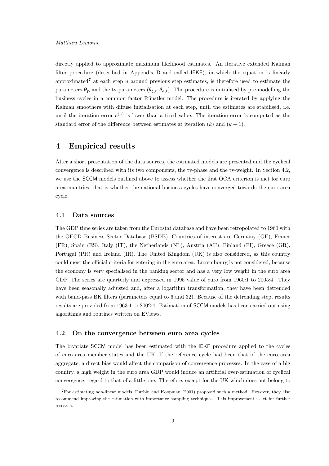directly applied to approximate maximum likelihood estimates. An iterative extended Kalman filter procedure (described in Appendix B and called IEKF), in which the equation is linearly approximated<sup>7</sup> at each step n around previous step estimates, is therefore used to estimate the parameters  $\theta_{\mathbf{p}}$  and the tv-parameters  $(\theta_{\xi,t}, \theta_{a,t})$ . The procedure is initialised by pre-modelling the business cycles in a common factor Rünstler model. The procedure is iterated by applying the Kalman smoothers with diffuse initialisation at each step, until the estimates are stabilised, i.e. until the iteration error  $e^{(n)}$  is lower than a fixed value. The iteration error is computed as the standard error of the difference between estimates at iteration  $(k)$  and  $(k + 1)$ .

## 4 Empirical results

After a short presentation of the data sources, the estimated models are presented and the cyclical convergence is described with its two components, the tv-phase and the tv-weight. In Section 4.2, we use the SCCM models outlined above to assess whether the first OCA criterion is met for euro area countries, that is whether the national business cycles have converged towards the euro area cycle.

#### 4.1 Data sources

The GDP time series are taken from the Eurostat database and have been retropolated to 1960 with the OECD Business Sector Database (BSDB). Countries of interest are Germany (GE), France (FR), Spain (ES), Italy (IT), the Netherlands (NL), Austria (AU), Finland (FI), Greece (GR), Portugal (PR) and Ireland (IR). The United Kingdom (UK) is also considered, as this country could meet the official criteria for entering in the euro area. Luxembourg is not considered, because the economy is very specialised in the banking sector and has a very low weight in the euro area GDP. The series are quarterly and expressed in 1995 value of euro from 1960:1 to 2005:4. They have been seasonally adjusted and, after a logarithm transformation, they have been detrended with band-pass BK filters (parameters equal to 6 and 32). Because of the detrending step, results results are provided from 1963:1 to 2002:4. Estimation of SCCM models has been carried out using algorithms and routines written on EViews.

#### 4.2 On the convergence between euro area cycles

The bivariate SCCM model has been estimated with the IEKF procedure applied to the cycles of euro area member states and the UK. If the reference cycle had been that of the euro area aggregate, a direct bias would affect the comparison of convergence processes. In the case of a big country, a high weight in the euro area GDP would induce an artificial over-estimation of cyclical convergence, regard to that of a little one. Therefore, except for the UK which does not belong to

<sup>7</sup>For estimating non-linear models, Durbin and Koopman (2001) proposed such a method. However, they also recommend improving the estimation with importance sampling techniques. This improvement is let for further research.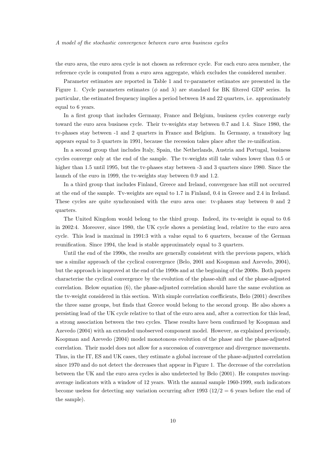the euro area, the euro area cycle is not chosen as reference cycle. For each euro area member, the reference cycle is computed from a euro area aggregate, which excludes the considered member.

Parameter estimates are reported in Table 1 and tv-parameter estimates are presented in the Figure 1. Cycle parameters estimates ( $\phi$  and  $\lambda$ ) are standard for BK filtered GDP series. In particular, the estimated frequency implies a period between 18 and 22 quarters, i.e. approximately equal to 6 years.

In a first group that includes Germany, France and Belgium, business cycles converge early toward the euro area business cycle. Their tv-weights stay between 0.7 and 1.4. Since 1980, the tv-phases stay between -1 and 2 quarters in France and Belgium. In Germany, a transitory lag appears equal to 3 quarters in 1991, because the recession takes place after the re-unification.

In a second group that includes Italy, Spain, the Netherlands, Austria and Portugal, business cycles converge only at the end of the sample. The tv-weights still take values lower than 0.5 or higher than 1.5 until 1995, but the tv-phases stay between -3 and 3 quarters since 1980. Since the launch of the euro in 1999, the tv-weights stay between 0.9 and 1.2.

In a third group that includes Finland, Greece and Ireland, convergence has still not occurred at the end of the sample. Tv-weights are equal to 1.7 in Finland, 0.4 in Greece and 2.4 in Ireland. These cycles are quite synchronised with the euro area one: tv-phases stay between 0 and 2 quarters.

The United Kingdom would belong to the third group. Indeed, its tv-weight is equal to 0.6 in 2002:4. Moreover, since 1980, the UK cycle shows a persisting lead, relative to the euro area cycle. This lead is maximal in 1991:3 with a value equal to 6 quarters, because of the German reunification. Since 1994, the lead is stable approximately equal to 3 quarters.

Until the end of the 1990s, the results are generally consistent with the previous papers, which use a similar approach of the cyclical convergence (Belo, 2001 and Koopman and Azevedo, 2004), but the approach is improved at the end of the 1990s and at the beginning of the 2000s. Both papers characterise the cyclical convergence by the evolution of the phase-shift and of the phase-adjusted correlation. Below equation (6), the phase-adjusted correlation should have the same evolution as the tv-weight considered in this section. With simple correlation coefficients, Belo (2001) describes the three same groups, but finds that Greece would belong to the second group. He also shows a persisting lead of the UK cycle relative to that of the euro area and, after a correction for this lead, a strong association between the two cycles. These results have been confirmed by Koopman and Azevedo (2004) with an extended unobserved component model. However, as explained previously, Koopman and Azevedo (2004) model monotonous evolution of the phase and the phase-adjusted correlation. Their model does not allow for a succession of convergence and divergence movements. Thus, in the IT, ES and UK cases, they estimate a global increase of the phase-adjusted correlation since 1970 and do not detect the decreases that appear in Figure 1. The decrease of the correlation between the UK and the euro area cycles is also undetected by Belo (2001). He computes movingaverage indicators with a window of 12 years. With the annual sample 1960-1999, such indicators become useless for detecting any variation occurring after 1993 ( $12/2 = 6$  years before the end of the sample).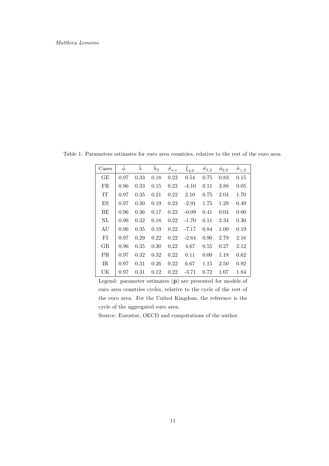| Cases | $\hat{\phi}$ | $\hat{\lambda}$ | $\tilde{h}_2$ | $\hat{\sigma}_{\kappa,c}$ | $\hat{\xi}_{2,0}$ | $\hat{\sigma}_{\delta,2}$ | $\hat{a}_{2,0}$ | $\hat{\sigma}_{\gamma,2}$ |
|-------|--------------|-----------------|---------------|---------------------------|-------------------|---------------------------|-----------------|---------------------------|
| GE    | 0.97         | 0.33            | 0.18          | 0.23                      | 0.54              | 0.75                      | 0.83            | 0.15                      |
| FR.   | 0.96         | 0.33            | 0.15          | 0.23                      | $-4.10$           | 0.11                      | 3.88            | 0.05                      |
| IT    | 0.97         | 0.35            | 0.21          | 0.22                      | 2.10              | 0.75                      | 2.04            | 1.70                      |
| ES    | 0.97         | 0.30            | 0.19          | 0.23                      | $-2.91$           | 1.75                      | 1.29            | 0.49                      |
| BE    | 0.96         | 0.36            | 0.17          | 0.22                      | $-0.09$           | 0.41                      | 0.04            | 0.00                      |
| NL    | 0.96         | 0.32            | 0.18          | 0.22                      | $-1.70$           | 0.11                      | 2.34            | 0.30                      |
| AU    | 0.96         | 0.35            | 0.19          | 0.22                      | $-7.17$           | 0.84                      | 1.00            | 0.19                      |
| FI    | 0.97         | 0.29            | 0.22          | 0.22                      | $-2.64$           | 0.90                      | 2.79            | 2.16                      |
| GR.   | 0.96         | 0.35            | 0.30          | 0.22                      | 4.67              | 0.55                      | 0.27            | 2.12                      |
| PR.   | 0.97         | 0.32            | 0.32          | 0.22                      | 0.11              | 0.00                      | 1.18            | 0.62                      |
| IR.   | 0.97         | 0.31            | 0.26          | 0.22                      | 6.67              | 1.15                      | 2.50            | 0.92                      |
| UK    | 0.97         | 0.31            | 0.12          | 0.22                      | $-3.71$           | 0.72                      | 1.07            | 1.84                      |

Table 1: Parameters estimates for euro area countries, relative to the rest of the euro area

Legend: parameter estimates  $(\hat{\mathbf{p}})$  are presented for models of euro area countries cycles, relative to the cycle of the rest of the euro area. For the United Kingdom, the reference is the cycle of the aggregated euro area.

Source: Eurostat, OECD and computations of the author.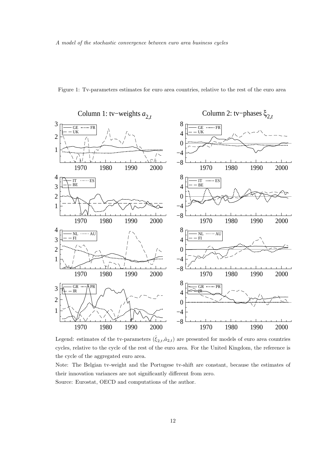

Figure 1: Tv-parameters estimates for euro area countries, relative to the rest of the euro area

Legend: estimates of the tv-parameters  $(\hat{\xi}_{2,t},\hat{a}_{2,t})$  are presented for models of euro area countries cycles, relative to the cycle of the rest of the euro area. For the United Kingdom, the reference is the cycle of the aggregated euro area.

Note: The Belgian tv-weight and the Portugese tv-shift are constant, because the estimates of their innovation variances are not significantly different from zero. Source: Eurostat, OECD and computations of the author.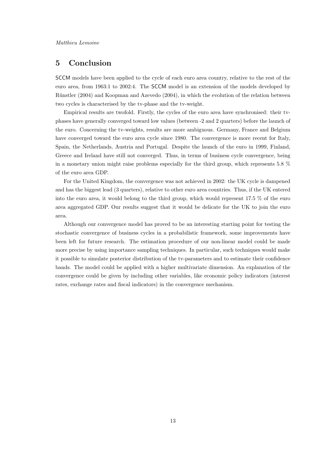## 5 Conclusion

SCCM models have been applied to the cycle of each euro area country, relative to the rest of the euro area, from 1963:1 to 2002:4. The SCCM model is an extension of the models developed by Rünstler (2004) and Koopman and Azevedo (2004), in which the evolution of the relation between two cycles is characterised by the tv-phase and the tv-weight.

Empirical results are twofold. Firstly, the cycles of the euro area have synchronised: their tvphases have generally converged toward low values (between -2 and 2 quarters) before the launch of the euro. Concerning the tv-weights, results are more ambiguous. Germany, France and Belgium have converged toward the euro area cycle since 1980. The convergence is more recent for Italy, Spain, the Netherlands, Austria and Portugal. Despite the launch of the euro in 1999, Finland, Greece and Ireland have still not converged. Thus, in terms of business cycle convergence, being in a monetary union might raise problems especially for the third group, which represents 5.8 % of the euro area GDP.

For the United Kingdom, the convergence was not achieved in 2002: the UK cycle is dampened and has the biggest lead (3 quarters), relative to other euro area countries. Thus, if the UK entered into the euro area, it would belong to the third group, which would represent 17.5 % of the euro area aggregated GDP. Our results suggest that it would be delicate for the UK to join the euro area.

Although our convergence model has proved to be an interesting starting point for testing the stochastic convergence of business cycles in a probabilistic framework, some improvements have been left for future research. The estimation procedure of our non-linear model could be made more precise by using importance sampling techniques. In particular, such techniques would make it possible to simulate posterior distribution of the tv-parameters and to estimate their confidence bands. The model could be applied with a higher multivariate dimension. An explanation of the convergence could be given by including other variables, like economic policy indicators (interest rates, exchange rates and fiscal indicators) in the convergence mechanism.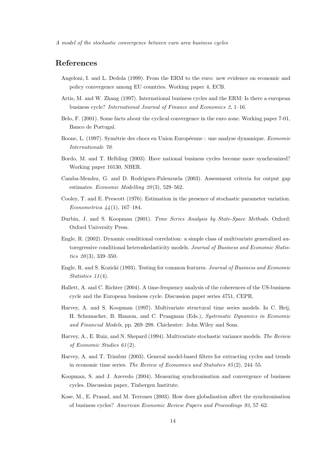## References

- Angeloni, I. and L. Dedola (1999). From the ERM to the euro: new evidence on economic and policy convergence among EU countries. Working paper 4, ECB.
- Artis, M. and W. Zhang (1997). International business cycles and the ERM: Is there a european business cycle? International Journal of Finance and Economics 2, 1–16.
- Belo, F. (2001). Some facts about the cyclical convergence in the euro zone. Working paper 7-01, Banco de Portugal.
- Boone, L. (1997). Symétrie des chocs en Union Européenne : une analyse dynamique. Economie Internationale 70.
- Bordo, M. and T. Helbling (2003). Have national business cycles become more synchronized? Working paper 10130, NBER.
- Camba-Mendez, G. and D. Rodriguez-Palenzuela (2003). Assessment criteria for output gap estimates. Economic Modelling  $20(3)$ , 529-562.
- Cooley, T. and E. Prescott (1976). Estimation in the presence of stochastic parameter variation. Econometrica  $44(1)$ , 167–184.
- Durbin, J. and S. Koopman (2001). Time Series Analysis by State-Space Methods. Oxford: Oxford University Press.
- Engle, R. (2002). Dynamic conditional correlation: a simple class of multivariate generalized autoregressive conditional heteroskedasticity models. Journal of Business and Economic Statistics  $20(3)$ , 339-350.
- Engle, R. and S. Kozicki (1993). Testing for common features. Journal of Business and Economic Statistics  $11(4)$ .
- Hallett, A. and C. Richter (2004). A time-frequency analysis of the coherences of the US-business cycle and the European business cycle. Discussion paper series 4751, CEPR.
- Harvey, A. and S. Koopman (1997). Multivariate structural time series models. In C. Heij, H. Schumacher, B. Hanzon, and C. Praagman (Eds.), Systematic Dynamics in Economic and Financial Models, pp. 269–298. Chichester: John Wiley and Sons.
- Harvey, A., E. Ruiz, and N. Shepard (1994). Multivariate stochastic variance models. The Review of Economic Studies 61 (2).
- Harvey, A. and T. Trimbur (2003). General model-based filters for extracting cycles and trends in economic time series. The Review of Economics and Statistics 85 (2), 244–55.
- Koopman, S. and J. Azevedo (2004). Measuring synchronisation and convergence of business cycles. Discussion paper, Tinbergen Institute.
- Kose, M., E. Prasad, and M. Terrones (2003). How does globalization affect the synchronisation of business cycles? American Economic Review Papers and Proceedings 93, 57–62.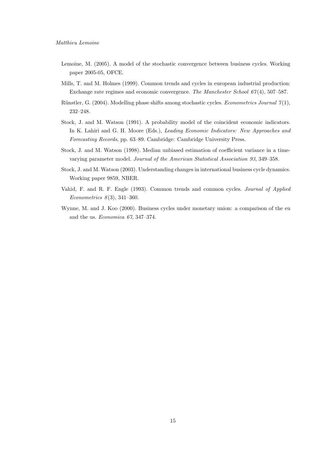- Lemoine, M. (2005). A model of the stochastic convergence between business cycles. Working paper 2005-05, OFCE.
- Mills, T. and M. Holmes (1999). Common trends and cycles in european industrial production: Exchange rate regimes and economic convergence. The Manchester School 67 (4), 507–587.
- Rünstler, G. (2004). Modelling phase shifts among stochastic cycles. *Econometrics Journal*  $\gamma(1)$ , 232–248.
- Stock, J. and M. Watson (1991). A probability model of the coincident economic indicators. In K. Lahiri and G. H. Moore (Eds.), Leading Economic Indicators: New Approaches and Forecasting Records, pp. 63–89. Cambridge: Cambridge University Press.
- Stock, J. and M. Watson (1998). Median unbiased estimation of coefficient variance in a timevarying parameter model. Journal of the American Statistical Association 93, 349–358.
- Stock, J. and M. Watson (2003). Understanding changes in international business cycle dynamics. Working paper 9859, NBER.
- Vahid, F. and R. F. Engle (1993). Common trends and common cycles. Journal of Applied Econometrics  $8(3)$ , 341-360.
- Wynne, M. and J. Koo (2000). Business cycles under monetary union: a comparison of the eu and the us. Economica 67, 347–374.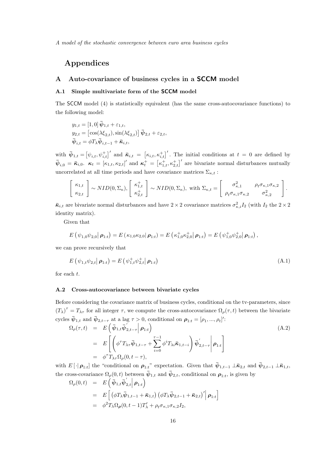## Appendices

#### A Auto-covariance of business cycles in a SCCM model

#### A.1 Simple multivariate form of the SCCM model

The SCCM model (4) is statistically equivalent (has the same cross-autocovariance functions) to the following model:

$$
y_{1,t} = [1,0] \overline{\psi}_{1,t} + \varepsilon_{1,t},
$$
  
\n
$$
y_{2,t} = [\cos(\lambda \xi_{2,t}), \sin(\lambda \xi_{2,t})] \overline{\psi}_{2,t} + \varepsilon_{2,t},
$$
  
\n
$$
\overline{\psi}_{i,t} = \phi T_{\lambda} \overline{\psi}_{i,t-1} + \overline{\kappa}_{i,t},
$$

with  $\bar{\psi}_{1,t} = [\psi_{i,t}, \psi_{i,t}^+]'$  and  $\bar{\kappa}_{i,t} = [\kappa_{i,t}, \kappa_{i,t}^+]'$ . The initial conditions at  $t = 0$  are defined by  $\bar{\psi}_{i,0} = \bar{\kappa}_{i,0}$ .  $\kappa_t = [\kappa_{1,t}, \kappa_{2,t}]'$  and  $\kappa_t^+ = [\kappa_{1,t}^+, \kappa_{2,t}^+]'$  are bivariate normal disturbances mutually uncorrelated at all time periods and have covariance matrices  $\Sigma_{\kappa,t}$ :

$$
\begin{bmatrix} \kappa_{1,t} \\ \kappa_{2,t} \end{bmatrix} \sim NID(0,\Sigma_{\kappa}), \begin{bmatrix} \kappa_{1,t}^+ \\ \kappa_{2,t}^+ \end{bmatrix} \sim NID(0,\Sigma_{\kappa}), \text{ with } \Sigma_{\kappa,t} = \begin{bmatrix} \sigma_{\kappa,1}^2 & \rho_t \sigma_{\kappa,1} \sigma_{\kappa,2} \\ \rho_t \sigma_{\kappa,1} \sigma_{\kappa,2} & \sigma_{\kappa,2}^2 \end{bmatrix}.
$$

 $\bar{\kappa}_{i,t}$  are bivariate normal disturbances and have  $2 \times 2$  covariance matrices  $\sigma_{\kappa,i}^2 I_2$  (with  $I_2$  the  $2 \times 2$ identity matrix).

Given that

$$
E(\psi_{1,0}\psi_{2,0}|\,\boldsymbol{\rho}_{1:t})=E(\kappa_{1,0}\kappa_{2,0}|\,\boldsymbol{\rho}_{1:t})=E(\kappa_{1,0}^+\kappa_{2,0}^+|\,\boldsymbol{\rho}_{1:t})=E(\psi_{1,0}^+\psi_{2,0}^+|\,\boldsymbol{\rho}_{1:t}),
$$

we can prove recursively that

$$
E(\psi_{1,t}\psi_{2,t}|\,\boldsymbol{\rho}_{1:t}) = E(\psi_{1,t}^+\psi_{2,t}^+|\,\boldsymbol{\rho}_{1:t})
$$
\n(A.1)

for each t.

#### A.2 Cross-autocovariance between bivariate cycles

Before considering the covariance matrix of business cycles, conditional on the tv-parameters, since  $(T_{\lambda})^{\tau} = T_{\lambda\tau}$  for all integer  $\tau$ , we compute the cross-autocovariance  $\Omega_{\rho}(\tau, t)$  between the bivariate cycles  $\bar{\psi}_{1,t}$  and  $\bar{\psi}_{2,t-\tau}$  at a lag  $\tau > 0$ , conditional on  $\rho_{1:t} = [\rho_1, ..., \rho_t]'$ :

$$
\Omega_{\rho}(\tau, t) = E\left(\bar{\psi}_{1,t}\bar{\psi}_{2,t-\tau}^{'}\Big|\boldsymbol{\rho}_{1:t}\right)
$$
\n
$$
= E\left[\left(\phi^{\tau}T_{\lambda\tau}\bar{\psi}_{1,t-\tau}+\sum_{i=0}^{\tau-1}\phi^{i}T_{\lambda i}\bar{\kappa}_{1,t-i}\right)\bar{\psi}_{2,t-\tau}^{'}\Big|\boldsymbol{\rho}_{1:t}\right]
$$
\n
$$
= \phi^{\tau}T_{\lambda\tau}\Omega_{\rho}(0, t-\tau),
$$
\n(A.2)

with  $E[\cdot|\boldsymbol{\rho}_{1:t}]$  the "conditional on  $\boldsymbol{\rho}_{1:t}$ " expectation. Given that  $\bar{\psi}_{1,t-1} \perp \bar{\kappa}_{2,t}$  and  $\bar{\psi}_{2,t-1} \perp \bar{\kappa}_{1,t}$ , the cross-covariance  $\Omega_{\rho}(0,t)$  between  $\bar{\psi}_{1,t}$  and  $\bar{\psi}_{2,t}$ , conditional on  $\rho_{1:t}$ , is given by

$$
\Omega_{\rho}(0,t) = E\left(\bar{\psi}_{1,t}\bar{\psi}_{2,t}'\Big|\,\boldsymbol{\rho}_{1:t}\right)
$$
  
\n
$$
= E\left[\left(\phi T_{\lambda}\bar{\psi}_{1,t-1} + \bar{\kappa}_{1,t}\right)\left(\phi T_{\lambda}\bar{\psi}_{2,t-1} + \bar{\kappa}_{2,t}\right)'\Big|\,\boldsymbol{\rho}_{1:t}\right]
$$
  
\n
$$
= \phi^2 T_{\lambda}\Omega_{\rho}(0,t-1)T'_{\lambda} + \rho_t\sigma_{\kappa,1}\sigma_{\kappa,2}I_2,
$$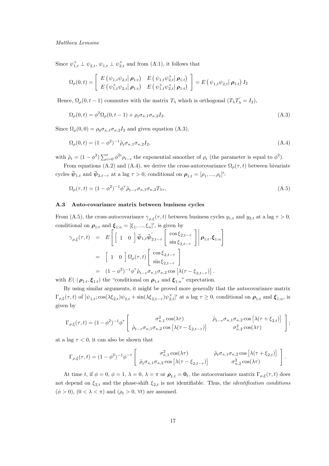#### Matthieu Lemoine

Since  $\psi_{1,t}^+ \perp \psi_{2,t}$ ,  $\psi_{1,t} \perp \psi_{2,t}^+$  and from (A.1), it follows that

$$
\Omega_{\rho}(0,t) = \begin{bmatrix} E(\psi_{1,t}\psi_{2,t}|\boldsymbol{\rho}_{1:t}) & E(\psi_{1,t}\psi_{2,t}^{+}|\boldsymbol{\rho}_{1:t}) \\ E(\psi_{1,t}^{+}\psi_{2,t}|\boldsymbol{\rho}_{1:t}) & E(\psi_{1,t}^{+}\psi_{2,t}^{+}|\boldsymbol{\rho}_{1:t}) \end{bmatrix} = E(\psi_{1,t}\psi_{2,t}|\boldsymbol{\rho}_{1:t}) I_2
$$

Hence,  $\Omega_{\rho}(0, t-1)$  commutes with the matrix  $T_{\lambda}$  which is orthogonal  $(T_{\lambda}T_{\lambda}^{\prime} = I_2)$ ,

$$
\Omega_{\rho}(0,t) = \phi^2 \Omega_{\rho}(0,t-1) + \rho_t \sigma_{\kappa,1} \sigma_{\kappa,2} I_2.
$$
\n(A.3)

Since  $\Omega_{\rho}(0,0) = \rho_0 \sigma_{\kappa,1} \sigma_{\kappa,2} I_2$  and given equation (A.3),

$$
\Omega_{\rho}(0,t) = (1 - \phi^2)^{-1} \tilde{\rho}_t \sigma_{\kappa,1} \sigma_{\kappa,2} I_2,\tag{A.4}
$$

with  $\tilde{\rho}_t = (1 - \phi^2) \sum_{i=0}^t \phi^{2i} \rho_{t-i}$  the exponential smoother of  $\rho_t$  (the parameter is equal to  $\phi^2$ ).

From equations (A.2) and (A.4), we derive the cross-autocovariance  $\Omega_{\rho}(\tau, t)$  between bivariate cycles  $\bar{\psi}_{1,t}$  and  $\bar{\psi}_{2,t-\tau}$  at a lag  $\tau > 0$ , conditional on  $\rho_{1:t} = [\rho_1, ..., \rho_t]'$ :

$$
\Omega_{\rho}(\tau,t) = (1 - \phi^2)^{-1} \phi^{\tau} \tilde{\rho}_{t-\tau} \sigma_{\kappa,1} \sigma_{\kappa,2} T_{\lambda \tau},\tag{A.5}
$$

#### A.3 Auto-covariance matrix between business cycles

From (A.5), the cross-autocovariance  $\gamma_{\rho,\xi}(\tau,t)$  between business cycles  $y_{1,t}$  and  $y_{2,t}$  at a lag  $\tau > 0$ , conditional on  $\rho_{1:t}$  and  $\xi_{1:n} = [\xi_1, ..., \xi_n]'$ , is given by

$$
\gamma_{\rho,\xi}(\tau,t) = E\left[\begin{bmatrix} 1 & 0 \end{bmatrix} \bar{\psi}_{1,t} \bar{\psi}'_{2,t-\tau} \begin{bmatrix} \cos \xi_{2,t-\tau} \\ \sin \xi_{2,t-\tau} \end{bmatrix} \middle| \rho_{1:t}, \xi_{1:n} \right]
$$
  
\n
$$
= \begin{bmatrix} 1 & 0 \end{bmatrix} \Omega_{\rho}(\tau,t) \begin{bmatrix} \cos \xi_{2,t-\tau} \\ \sin \xi_{2,t-\tau} \end{bmatrix}
$$
  
\n
$$
= (1 - \phi^2)^{-1} \phi^{\tau} \tilde{\rho}_{t-\tau} \sigma_{\kappa,1} \sigma_{\kappa,2} \cos \left[ \lambda(\tau - \xi_{2,t-\tau}) \right].
$$
  
\n
$$
E(\log \zeta_{\rho})
$$
 the "conditional on a and  $\zeta$ "" expectation

with  $E(\cdot|\boldsymbol{\rho}_{1:t}, \boldsymbol{\xi}_{1:t})$  the "conditional on  $\boldsymbol{\rho}_{1:t}$  and  $\boldsymbol{\xi}_{1:n}$ " expectation.

By using similar arguments, it might be proved more generally that the autocovariance matrix  $\Gamma_{\rho,\xi}(\tau,t)$  of  $[\psi_{1,t}; \cos(\lambda \xi_{2,t}) \psi_{2,t} + \sin(\lambda \xi_{2,t-\tau}) \psi_{2,t}^+]$  at a lag  $\tau \geq 0$ , conditional on  $\rho_{1:t}$  and  $\xi_{1:n}$ , is given by

$$
\Gamma_{\rho,\xi}(\tau,t) = (1-\phi^2)^{-1} \phi^{\tau} \begin{bmatrix} \sigma_{\kappa,1}^2 \cos(\lambda \tau) & \tilde{\rho}_{t-\tau} \sigma_{\kappa,1} \sigma_{\kappa,2} \cos\left[\lambda(\tau+\xi_{2,t})\right] \\ \tilde{\rho}_{t-\tau} \sigma_{\kappa,1} \sigma_{\kappa,2} \cos\left[\lambda(\tau-\xi_{2,t-\tau})\right] & \sigma_{\kappa,2}^2 \cos(\lambda \tau) \end{bmatrix};
$$

at a lag  $\tau < 0$ , it can also be shown that

$$
\Gamma_{\rho,\xi}(\tau,t) = (1-\phi^2)^{-1}\phi^{-\tau}\left[\begin{array}{cc} \sigma_{\kappa,1}^2\cos(\lambda\tau) & \tilde{\rho}_t\sigma_{\kappa,1}\sigma_{\kappa,2}\cos\left[\lambda(\tau+\xi_{2,t})\right] \\ \tilde{\rho}_t\sigma_{\kappa,1}\sigma_{\kappa,2}\cos\left[\lambda(\tau-\xi_{2,t-\tau})\right] & \sigma_{\kappa,2}^2\cos(\lambda\tau) \end{array}\right].
$$

At time t, if  $\phi = 0$ ,  $\phi = 1$ ,  $\lambda = 0$ ,  $\lambda = \pi$  or  $\rho_{1:t} = \mathbf{0}_t$ , the autocovariance matrix  $\Gamma_{\rho,\xi}(\tau,t)$  does not depend on  $\xi_{2,t}$  and the phase-shift  $\xi_{2,t}$  is not identifiable. Thus, the *identification conditions*  $(\phi > 0)$ ,  $(0 < \lambda < \pi)$  and  $(\rho_t > 0, \forall t)$  are assumed.